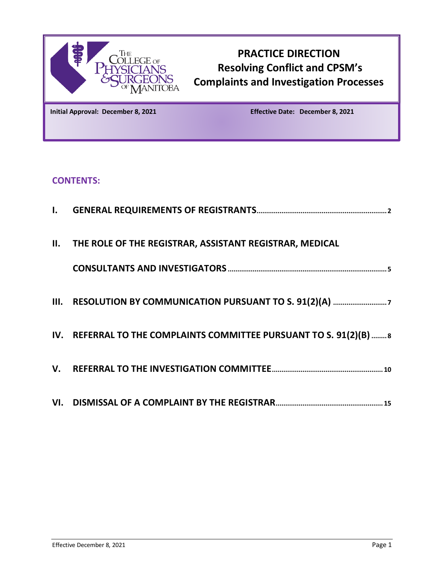

# **PRACTICE DIRECTION Resolving Conflict and CPSM's Complaints and Investigation Processes**

**Initial Approval: December 8, 2021 Effective Date: December 8, 2021**

## **CONTENTS:**

| <b>II. THE ROLE OF THE REGISTRAR, ASSISTANT REGISTRAR, MEDICAL</b>  |
|---------------------------------------------------------------------|
|                                                                     |
|                                                                     |
| IV. REFERRAL TO THE COMPLAINTS COMMITTEE PURSUANT TO S. 91(2)(B)  8 |
|                                                                     |
|                                                                     |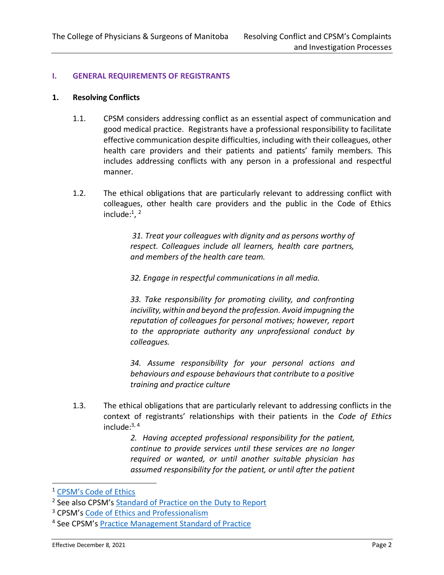#### <span id="page-1-0"></span>**I. GENERAL REQUIREMENTS OF REGISTRANTS**

#### **1. Resolving Conflicts**

- 1.1. CPSM considers addressing conflict as an essential aspect of communication and good medical practice. Registrants have a professional responsibility to facilitate effective communication despite difficulties, including with their colleagues, other health care providers and their patients and patients' family members. This includes addressing conflicts with any person in a professional and respectful manner.
- 1.2. The ethical obligations that are particularly relevant to addressing conflict with colleagues, other health care providers and the public in the Code of Ethics include:<sup>1</sup>, <sup>2</sup>

*31. Treat your colleagues with dignity and as persons worthy of respect. Colleagues include all learners, health care partners, and members of the health care team.*

*32. Engage in respectful communications in all media.* 

*33. Take responsibility for promoting civility, and confronting incivility, within and beyond the profession. Avoid impugning the reputation of colleagues for personal motives; however, report to the appropriate authority any unprofessional conduct by colleagues.* 

*34. Assume responsibility for your personal actions and behaviours and espouse behaviours that contribute to a positive training and practice culture*

1.3. The ethical obligations that are particularly relevant to addressing conflicts in the context of registrants' relationships with their patients in the *Code of Ethics* include: 3, 4

> *2. Having accepted professional responsibility for the patient, continue to provide services until these services are no longer required or wanted, or until another suitable physician has assumed responsibility for the patient, or until after the patient*

<sup>1</sup> [CPSM's Code of Ethics](http://cpsm.mb.ca/laws-and-policies/code-of-ethics)

<sup>&</sup>lt;sup>2</sup> See also CPSM's [Standard of Practice on the Duty to Report](https://cpsm.mb.ca/assets/Standards%20of%20Practice/Standard%20of%20Practice%20Duty%20to%20Report%20Self%20Colleagues%20or%20Patient%20Complete.pdf)

<sup>&</sup>lt;sup>3</sup> CPSM's [Code of Ethics and Professionalism](http://cpsm.mb.ca/laws-and-policies/code-of-ethics)

<sup>4</sup> See CPSM's [Practice Management Standard of Practice](https://cpsm.mb.ca/assets/Standards%20of%20Practice/Standard%20of%20Practice%20Practice%20Management.pdf)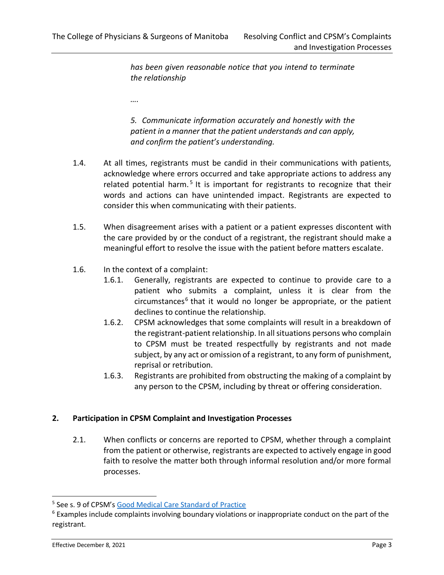*has been given reasonable notice that you intend to terminate the relationship*

*….*

*5. Communicate information accurately and honestly with the patient in a manner that the patient understands and can apply, and confirm the patient's understanding.*

- 1.4. At all times, registrants must be candid in their communications with patients, acknowledge where errors occurred and take appropriate actions to address any related potential harm.<sup>5</sup> It is important for registrants to recognize that their words and actions can have unintended impact. Registrants are expected to consider this when communicating with their patients.
- 1.5. When disagreement arises with a patient or a patient expresses discontent with the care provided by or the conduct of a registrant, the registrant should make a meaningful effort to resolve the issue with the patient before matters escalate.
- 1.6. In the context of a complaint:
	- 1.6.1. Generally, registrants are expected to continue to provide care to a patient who submits a complaint, unless it is clear from the circumstances<sup>6</sup> that it would no longer be appropriate, or the patient declines to continue the relationship.
	- 1.6.2. CPSM acknowledges that some complaints will result in a breakdown of the registrant-patient relationship. In all situations persons who complain to CPSM must be treated respectfully by registrants and not made subject, by any act or omission of a registrant, to any form of punishment, reprisal or retribution.
	- 1.6.3. Registrants are prohibited from obstructing the making of a complaint by any person to the CPSM, including by threat or offering consideration.

## **2. Participation in CPSM Complaint and Investigation Processes**

2.1. When conflicts or concerns are reported to CPSM, whether through a complaint from the patient or otherwise, registrants are expected to actively engage in good faith to resolve the matter both through informal resolution and/or more formal processes.

<sup>&</sup>lt;sup>5</sup> See s. 9 of CPSM's **[Good Medical Care Standard of Practice](https://cpsm.mb.ca/assets/Standards%20of%20Practice/Standard%20of%20Practice%20Duty%20to%20Report%20Self%20Colleagues%20or%20Patient%20Complete.pdf)** 

<sup>&</sup>lt;sup>6</sup> Examples include complaints involving boundary violations or inappropriate conduct on the part of the registrant.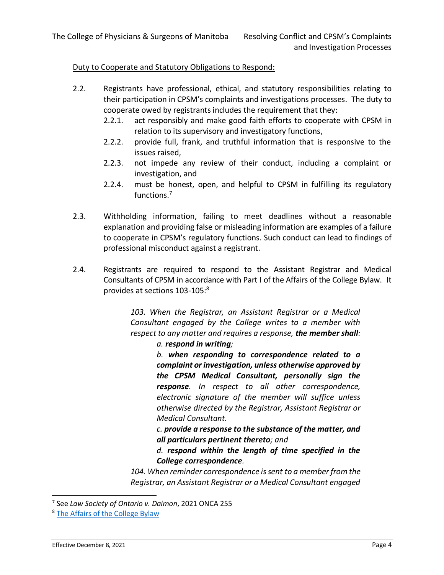#### Duty to Cooperate and Statutory Obligations to Respond:

- 2.2. Registrants have professional, ethical, and statutory responsibilities relating to their participation in CPSM's complaints and investigations processes. The duty to cooperate owed by registrants includes the requirement that they:
	- 2.2.1. act responsibly and make good faith efforts to cooperate with CPSM in relation to its supervisory and investigatory functions,
	- 2.2.2. provide full, frank, and truthful information that is responsive to the issues raised,
	- 2.2.3. not impede any review of their conduct, including a complaint or investigation, and
	- 2.2.4. must be honest, open, and helpful to CPSM in fulfilling its regulatory functions.<sup>7</sup>
- 2.3. Withholding information, failing to meet deadlines without a reasonable explanation and providing false or misleading information are examples of a failure to cooperate in CPSM's regulatory functions. Such conduct can lead to findings of professional misconduct against a registrant.
- 2.4. Registrants are required to respond to the Assistant Registrar and Medical Consultants of CPSM in accordance with Part I of the Affairs of the College Bylaw. It provides at sections 103-105: 8

*103. When the Registrar, an Assistant Registrar or a Medical Consultant engaged by the College writes to a member with respect to any matter and requires a response, the member shall: a. respond in writing;*

> *b. when responding to correspondence related to a complaint or investigation, unless otherwise approved by the CPSM Medical Consultant, personally sign the response. In respect to all other correspondence, electronic signature of the member will suffice unless otherwise directed by the Registrar, Assistant Registrar or Medical Consultant.*

> *c. provide a response to the substance of the matter, and all particulars pertinent thereto; and*

> *d. respond within the length of time specified in the College correspondence.*

*104. When reminder correspondence is sent to a member from the Registrar, an Assistant Registrar or a Medical Consultant engaged* 

<sup>7</sup> See *Law Society of Ontario v. Daimon*, 2021 ONCA 255

<sup>&</sup>lt;sup>8</sup> [The Affairs of the College Bylaw](https://cpsm.mb.ca/assets/ByLaws/Affairs%20of%20the%20College%20Bylaw.pdf)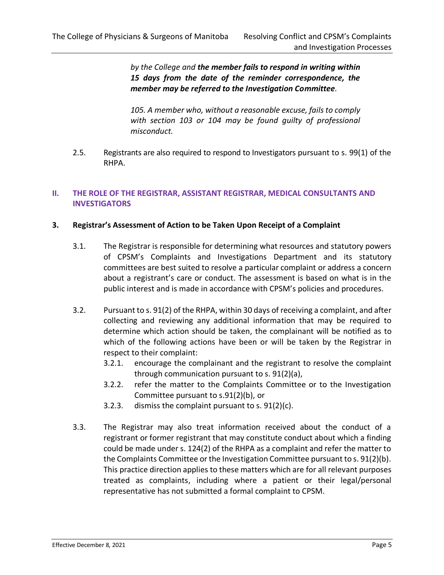*by the College and the member fails to respond in writing within 15 days from the date of the reminder correspondence, the member may be referred to the Investigation Committee.* 

*105. A member who, without a reasonable excuse, fails to comply with section 103 or 104 may be found guilty of professional misconduct.*

2.5. Registrants are also required to respond to Investigators pursuant to s. 99(1) of the RHPA.

## <span id="page-4-0"></span>**II. THE ROLE OF THE REGISTRAR, ASSISTANT REGISTRAR, MEDICAL CONSULTANTS AND INVESTIGATORS**

## **3. Registrar's Assessment of Action to be Taken Upon Receipt of a Complaint**

- 3.1. The Registrar is responsible for determining what resources and statutory powers of CPSM's Complaints and Investigations Department and its statutory committees are best suited to resolve a particular complaint or address a concern about a registrant's care or conduct. The assessment is based on what is in the public interest and is made in accordance with CPSM's policies and procedures.
- 3.2. Pursuant to s. 91(2) of the RHPA, within 30 days of receiving a complaint, and after collecting and reviewing any additional information that may be required to determine which action should be taken, the complainant will be notified as to which of the following actions have been or will be taken by the Registrar in respect to their complaint:
	- 3.2.1. encourage the complainant and the registrant to resolve the complaint through communication pursuant to s. 91(2)(a),
	- 3.2.2. refer the matter to the Complaints Committee or to the Investigation Committee pursuant to s.91(2)(b), or
	- 3.2.3. dismiss the complaint pursuant to s. 91(2)(c).
- 3.3. The Registrar may also treat information received about the conduct of a registrant or former registrant that may constitute conduct about which a finding could be made under s. 124(2) of the RHPA as a complaint and refer the matter to the Complaints Committee or the Investigation Committee pursuant to s. 91(2)(b). This practice direction applies to these matters which are for all relevant purposes treated as complaints, including where a patient or their legal/personal representative has not submitted a formal complaint to CPSM.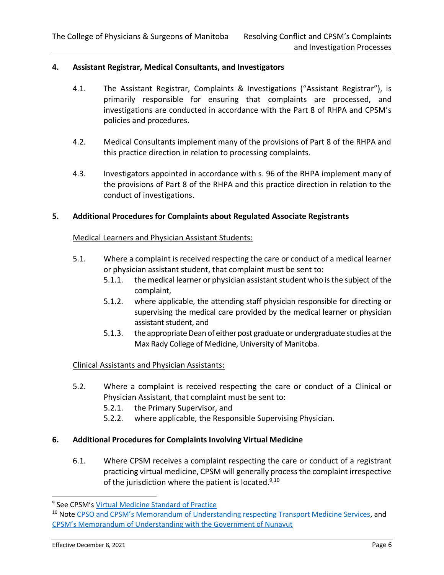#### **4. Assistant Registrar, Medical Consultants, and Investigators**

- 4.1. The Assistant Registrar, Complaints & Investigations ("Assistant Registrar"), is primarily responsible for ensuring that complaints are processed, and investigations are conducted in accordance with the Part 8 of RHPA and CPSM's policies and procedures.
- 4.2. Medical Consultants implement many of the provisions of Part 8 of the RHPA and this practice direction in relation to processing complaints.
- 4.3. Investigators appointed in accordance with s. 96 of the RHPA implement many of the provisions of Part 8 of the RHPA and this practice direction in relation to the conduct of investigations.

#### **5. Additional Procedures for Complaints about Regulated Associate Registrants**

#### Medical Learners and Physician Assistant Students:

- 5.1. Where a complaint is received respecting the care or conduct of a medical learner or physician assistant student, that complaint must be sent to:
	- 5.1.1. the medical learner or physician assistant student who is the subject of the complaint,
	- 5.1.2. where applicable, the attending staff physician responsible for directing or supervising the medical care provided by the medical learner or physician assistant student, and
	- 5.1.3. the appropriate Dean of either post graduate or undergraduate studies at the Max Rady College of Medicine, University of Manitoba.

#### Clinical Assistants and Physician Assistants:

- 5.2. Where a complaint is received respecting the care or conduct of a Clinical or Physician Assistant, that complaint must be sent to:
	- 5.2.1. the Primary Supervisor, and
	- 5.2.2. where applicable, the Responsible Supervising Physician.

#### **6. Additional Procedures for Complaints Involving Virtual Medicine**

6.1. Where CPSM receives a complaint respecting the care or conduct of a registrant practicing virtual medicine, CPSM will generally process the complaint irrespective of the jurisdiction where the patient is located.<sup>9,10</sup>

<sup>&</sup>lt;sup>9</sup> See CPSM's <u>[Virtual Medicine Standard of Practice](https://cpsm.mb.ca/assets/Standards%20of%20Practice/Standard%20of%20Practice%20Virtual%20Medicine.pdf)</u>

<sup>&</sup>lt;sup>10</sup> Note CPSO [and CPSM's Memorandum of Understanding respecting Transport Medicine Services](https://cpsm.mb.ca/assets/Standards%20of%20Practice/Standard%20of%20Practice%20Virtual%20Medicine.pdf), and CPSM's Memorandum of U[nderstanding with the Government of Nunavut](https://cpsm.mb.ca/assets/MOUs/MOU_CPSM%20-%20Gov%20of%20Nunavut%20Virtual%20Medicine.pdf)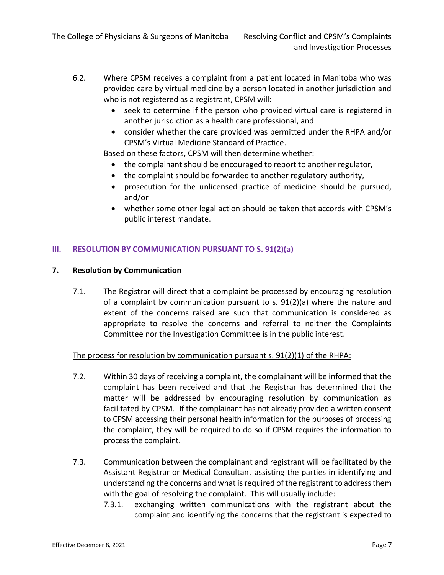- 6.2. Where CPSM receives a complaint from a patient located in Manitoba who was provided care by virtual medicine by a person located in another jurisdiction and who is not registered as a registrant, CPSM will:
	- seek to determine if the person who provided virtual care is registered in another jurisdiction as a health care professional, and
	- consider whether the care provided was permitted under the RHPA and/or CPSM's Virtual Medicine Standard of Practice.

Based on these factors, CPSM will then determine whether:

- the complainant should be encouraged to report to another regulator,
- the complaint should be forwarded to another regulatory authority,
- prosecution for the unlicensed practice of medicine should be pursued, and/or
- whether some other legal action should be taken that accords with CPSM's public interest mandate.

## <span id="page-6-0"></span>**III. RESOLUTION BY COMMUNICATION PURSUANT TO S. 91(2)(a)**

#### **7. Resolution by Communication**

7.1. The Registrar will direct that a complaint be processed by encouraging resolution of a complaint by communication pursuant to s. 91(2)(a) where the nature and extent of the concerns raised are such that communication is considered as appropriate to resolve the concerns and referral to neither the Complaints Committee nor the Investigation Committee is in the public interest.

## The process for resolution by communication pursuant s. 91(2)(1) of the RHPA:

- 7.2. Within 30 days of receiving a complaint, the complainant will be informed that the complaint has been received and that the Registrar has determined that the matter will be addressed by encouraging resolution by communication as facilitated by CPSM.If the complainant has not already provided a written consent to CPSM accessing their personal health information for the purposes of processing the complaint, they will be required to do so if CPSM requires the information to process the complaint.
- 7.3. Communication between the complainant and registrant will be facilitated by the Assistant Registrar or Medical Consultant assisting the parties in identifying and understanding the concerns and what is required of the registrant to address them with the goal of resolving the complaint. This will usually include:
	- 7.3.1. exchanging written communications with the registrant about the complaint and identifying the concerns that the registrant is expected to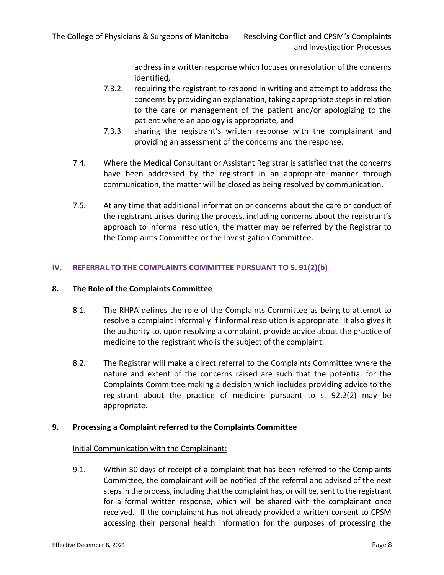address in a written response which focuses on resolution of the concerns identified,

- 7.3.2. requiring the registrant to respond in writing and attempt to address the concerns by providing an explanation, taking appropriate steps in relation to the care or management of the patient and/or apologizing to the patient where an apology is appropriate, and
- 7.3.3. sharing the registrant's written response with the complainant and providing an assessment of the concerns and the response.
- 7.4. Where the Medical Consultant or Assistant Registrar is satisfied that the concerns have been addressed by the registrant in an appropriate manner through communication, the matter will be closed as being resolved by communication.
- 7.5. At any time that additional information or concerns about the care or conduct of the registrant arises during the process, including concerns about the registrant's approach to informal resolution, the matter may be referred by the Registrar to the Complaints Committee or the Investigation Committee.

## <span id="page-7-0"></span>**IV. REFERRAL TO THE COMPLAINTS COMMITTEE PURSUANT TO S. 91(2)(b)**

#### **8. The Role of the Complaints Committee**

- 8.1. The RHPA defines the role of the Complaints Committee as being to attempt to resolve a complaint informally if informal resolution is appropriate. It also gives it the authority to, upon resolving a complaint, provide advice about the practice of medicine to the registrant who is the subject of the complaint.
- 8.2. The Registrar will make a direct referral to the Complaints Committee where the nature and extent of the concerns raised are such that the potential for the Complaints Committee making a decision which includes providing advice to the registrant about the practice of medicine pursuant to s. 92.2(2) may be appropriate.

## **9. Processing a Complaint referred to the Complaints Committee**

#### Initial Communication with the Complainant:

9.1. Within 30 days of receipt of a complaint that has been referred to the Complaints Committee, the complainant will be notified of the referral and advised of the next steps in the process, including that the complaint has, or will be, sent to the registrant for a formal written response, which will be shared with the complainant once received. If the complainant has not already provided a written consent to CPSM accessing their personal health information for the purposes of processing the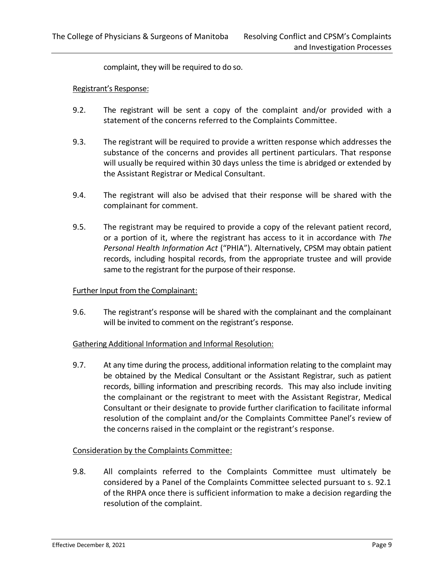complaint, they will be required to do so.

#### Registrant's Response:

- 9.2. The registrant will be sent a copy of the complaint and/or provided with a statement of the concerns referred to the Complaints Committee.
- 9.3. The registrant will be required to provide a written response which addresses the substance of the concerns and provides all pertinent particulars. That response will usually be required within 30 days unless the time is abridged or extended by the Assistant Registrar or Medical Consultant.
- 9.4. The registrant will also be advised that their response will be shared with the complainant for comment.
- 9.5. The registrant may be required to provide a copy of the relevant patient record, or a portion of it, where the registrant has access to it in accordance with *The Personal Health Information Act* ("PHIA"). Alternatively, CPSM may obtain patient records, including hospital records, from the appropriate trustee and will provide same to the registrant for the purpose of their response.

#### Further Input from the Complainant:

9.6. The registrant's response will be shared with the complainant and the complainant will be invited to comment on the registrant's response.

#### Gathering Additional Information and Informal Resolution:

9.7. At any time during the process, additional information relating to the complaint may be obtained by the Medical Consultant or the Assistant Registrar, such as patient records, billing information and prescribing records. This may also include inviting the complainant or the registrant to meet with the Assistant Registrar, Medical Consultant or their designate to provide further clarification to facilitate informal resolution of the complaint and/or the Complaints Committee Panel's review of the concerns raised in the complaint or the registrant's response.

#### Consideration by the Complaints Committee:

9.8. All complaints referred to the Complaints Committee must ultimately be considered by a Panel of the Complaints Committee selected pursuant to s. 92.1 of the RHPA once there is sufficient information to make a decision regarding the resolution of the complaint.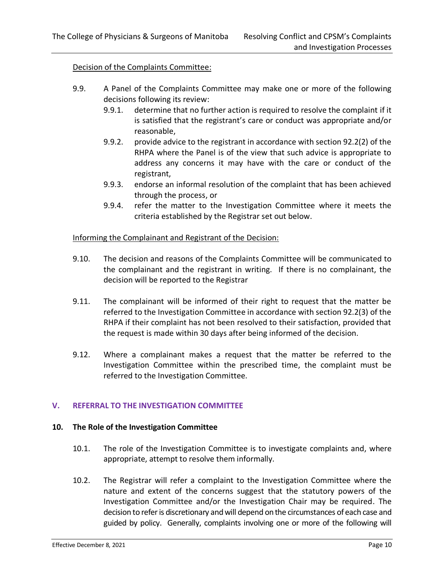#### Decision of the Complaints Committee:

- 9.9. A Panel of the Complaints Committee may make one or more of the following decisions following its review:
	- 9.9.1. determine that no further action is required to resolve the complaint if it is satisfied that the registrant's care or conduct was appropriate and/or reasonable,
	- 9.9.2. provide advice to the registrant in accordance with section 92.2(2) of the RHPA where the Panel is of the view that such advice is appropriate to address any concerns it may have with the care or conduct of the registrant,
	- 9.9.3. endorse an informal resolution of the complaint that has been achieved through the process, or
	- 9.9.4. refer the matter to the Investigation Committee where it meets the criteria established by the Registrar set out below.

#### Informing the Complainant and Registrant of the Decision:

- 9.10. The decision and reasons of the Complaints Committee will be communicated to the complainant and the registrant in writing. If there is no complainant, the decision will be reported to the Registrar
- 9.11. The complainant will be informed of their right to request that the matter be referred to the Investigation Committee in accordance with section 92.2(3) of the RHPA if their complaint has not been resolved to their satisfaction, provided that the request is made within 30 days after being informed of the decision.
- 9.12. Where a complainant makes a request that the matter be referred to the Investigation Committee within the prescribed time, the complaint must be referred to the Investigation Committee.

#### <span id="page-9-0"></span>**V. REFERRAL TO THE INVESTIGATION COMMITTEE**

#### **10. The Role of the Investigation Committee**

- 10.1. The role of the Investigation Committee is to investigate complaints and, where appropriate, attempt to resolve them informally.
- 10.2. The Registrar will refer a complaint to the Investigation Committee where the nature and extent of the concerns suggest that the statutory powers of the Investigation Committee and/or the Investigation Chair may be required. The decision to referis discretionary and will depend on the circumstances of each case and guided by policy. Generally, complaints involving one or more of the following will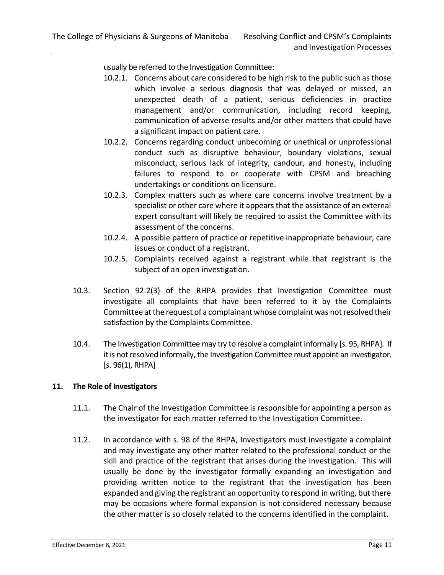usually be referred to the Investigation Committee:

- 10.2.1. Concerns about care considered to be high risk to the public such as those which involve a serious diagnosis that was delayed or missed, an unexpected death of a patient, serious deficiencies in practice management and/or communication, including record keeping, communication of adverse results and/or other matters that could have a significant impact on patient care.
- 10.2.2. Concerns regarding conduct unbecoming or unethical or unprofessional conduct such as disruptive behaviour, boundary violations, sexual misconduct, serious lack of integrity, candour, and honesty, including failures to respond to or cooperate with CPSM and breaching undertakings or conditions on licensure.
- 10.2.3. Complex matters such as where care concerns involve treatment by a specialist or other care where it appears that the assistance of an external expert consultant will likely be required to assist the Committee with its assessment of the concerns.
- 10.2.4. A possible pattern of practice or repetitive inappropriate behaviour, care issues or conduct of a registrant.
- 10.2.5. Complaints received against a registrant while that registrant is the subject of an open investigation.
- 10.3. Section 92.2(3) of the RHPA provides that Investigation Committee must investigate all complaints that have been referred to it by the Complaints Committee at the request of a complainant whose complaint was not resolved their satisfaction by the Complaints Committee.
- 10.4. The Investigation Committee may try to resolve a complaint informally [s. 95, RHPA]. If it is not resolved informally, the Investigation Committee must appoint an investigator.  $[s. 96(1), RHPA]$

#### **11. The Role of Investigators**

- 11.1. The Chair of the Investigation Committee is responsible for appointing a person as the investigator for each matter referred to the Investigation Committee.
- 11.2. In accordance with s. 98 of the RHPA, Investigators must investigate a complaint and may investigate any other matter related to the professional conduct or the skill and practice of the registrant that arises during the investigation. This will usually be done by the investigator formally expanding an investigation and providing written notice to the registrant that the investigation has been expanded and giving the registrant an opportunity to respond in writing, but there may be occasions where formal expansion is not considered necessary because the other matter is so closely related to the concerns identified in the complaint.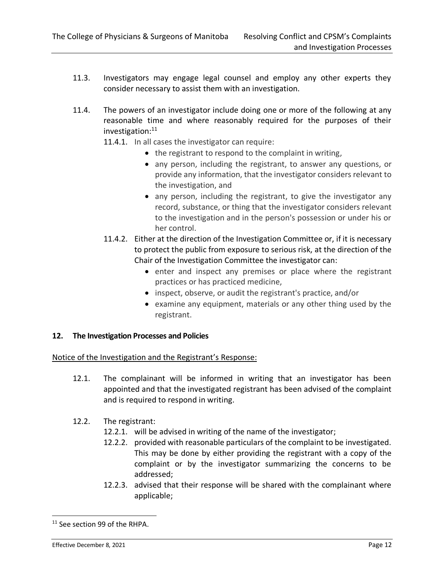- 11.3. Investigators may engage legal counsel and employ any other experts they consider necessary to assist them with an investigation.
- 11.4. The powers of an investigator include doing one or more of the following at any reasonable time and where reasonably required for the purposes of their investigation: 11
	- 11.4.1. In all cases the investigator can require:
		- the registrant to respond to the complaint in writing,
		- any person, including the registrant, to answer any questions, or provide any information, that the investigator considers relevant to the investigation, and
		- any person, including the registrant, to give the investigator any record, substance, or thing that the investigator considers relevant to the investigation and in the person's possession or under his or her control.
	- 11.4.2. Either at the direction of the Investigation Committee or, if it is necessary to protect the public from exposure to serious risk, at the direction of the Chair of the Investigation Committee the investigator can:
		- enter and inspect any premises or place where the registrant practices or has practiced medicine,
		- inspect, observe, or audit the registrant's practice, and/or
		- examine any equipment, materials or any other thing used by the registrant.

#### **12. The Investigation Processes and Policies**

Notice of the Investigation and the Registrant's Response:

- 12.1. The complainant will be informed in writing that an investigator has been appointed and that the investigated registrant has been advised of the complaint and is required to respond in writing.
- 12.2. The registrant:
	- 12.2.1. will be advised in writing of the name of the investigator;
	- 12.2.2. provided with reasonable particulars of the complaint to be investigated. This may be done by either providing the registrant with a copy of the complaint or by the investigator summarizing the concerns to be addressed;
	- 12.2.3. advised that their response will be shared with the complainant where applicable;

<sup>&</sup>lt;sup>11</sup> See section 99 of the RHPA.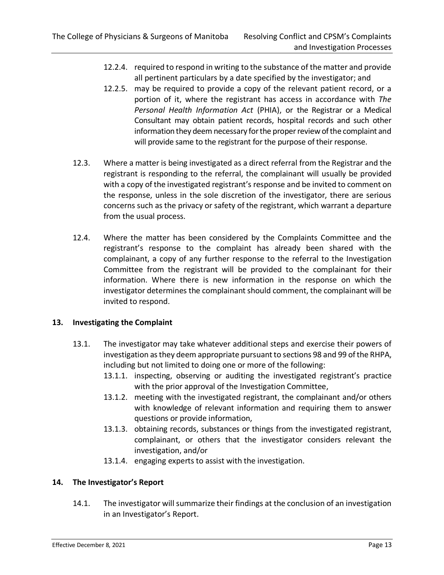- 12.2.4. required to respond in writing to the substance of the matter and provide all pertinent particulars by a date specified by the investigator; and
- 12.2.5. may be required to provide a copy of the relevant patient record, or a portion of it, where the registrant has access in accordance with *The Personal Health Information Act* (PHIA), or the Registrar or a Medical Consultant may obtain patient records, hospital records and such other information they deem necessary for the proper review of the complaint and will provide same to the registrant for the purpose of their response.
- 12.3. Where a matter is being investigated as a direct referral from the Registrar and the registrant is responding to the referral, the complainant will usually be provided with a copy of the investigated registrant's response and be invited to comment on the response, unless in the sole discretion of the investigator, there are serious concerns such as the privacy or safety of the registrant, which warrant a departure from the usual process.
- 12.4. Where the matter has been considered by the Complaints Committee and the registrant's response to the complaint has already been shared with the complainant, a copy of any further response to the referral to the Investigation Committee from the registrant will be provided to the complainant for their information. Where there is new information in the response on which the investigator determines the complainant should comment, the complainant will be invited to respond.

## **13. Investigating the Complaint**

- 13.1. The investigator may take whatever additional steps and exercise their powers of investigation as they deem appropriate pursuant to sections 98 and 99 of the RHPA, including but not limited to doing one or more of the following:
	- 13.1.1. inspecting, observing or auditing the investigated registrant's practice with the prior approval of the Investigation Committee,
	- 13.1.2. meeting with the investigated registrant, the complainant and/or others with knowledge of relevant information and requiring them to answer questions or provide information,
	- 13.1.3. obtaining records, substances or things from the investigated registrant, complainant, or others that the investigator considers relevant the investigation, and/or
	- 13.1.4. engaging experts to assist with the investigation.

## **14. The Investigator's Report**

14.1. The investigator will summarize their findings at the conclusion of an investigation in an Investigator's Report.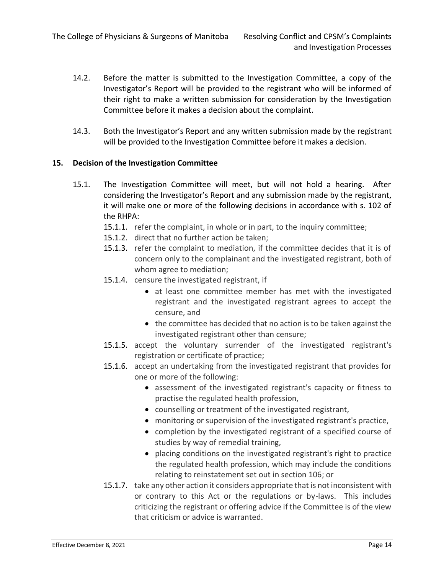- 14.2. Before the matter is submitted to the Investigation Committee, a copy of the Investigator's Report will be provided to the registrant who will be informed of their right to make a written submission for consideration by the Investigation Committee before it makes a decision about the complaint.
- 14.3. Both the Investigator's Report and any written submission made by the registrant will be provided to the Investigation Committee before it makes a decision.

## **15. Decision of the Investigation Committee**

- 15.1. The Investigation Committee will meet, but will not hold a hearing. After considering the Investigator's Report and any submission made by the registrant, it will make one or more of the following decisions in accordance with s. 102 of the RHPA:
	- 15.1.1. refer the complaint, in whole or in part, to the inquiry committee;
	- 15.1.2. direct that no further action be taken;
	- 15.1.3. refer the complaint to mediation, if the committee decides that it is of concern only to the complainant and the investigated registrant, both of whom agree to mediation;
	- 15.1.4. censure the investigated registrant, if
		- at least one committee member has met with the investigated registrant and the investigated registrant agrees to accept the censure, and
		- the committee has decided that no action is to be taken against the investigated registrant other than censure;
	- 15.1.5. accept the voluntary surrender of the investigated registrant's registration or certificate of practice;
	- 15.1.6. accept an undertaking from the investigated registrant that provides for one or more of the following:
		- assessment of the investigated registrant's capacity or fitness to practise the regulated health profession,
		- counselling or treatment of the investigated registrant,
		- monitoring or supervision of the investigated registrant's practice,
		- completion by the investigated registrant of a specified course of studies by way of remedial training,
		- placing conditions on the investigated registrant's right to practice the regulated health profession, which may include the conditions relating to reinstatement set out in section 106; or
	- 15.1.7. take any other action it considers appropriate that is not inconsistent with or contrary to this Act or the regulations or by-laws. This includes criticizing the registrant or offering advice if the Committee is of the view that criticism or advice is warranted.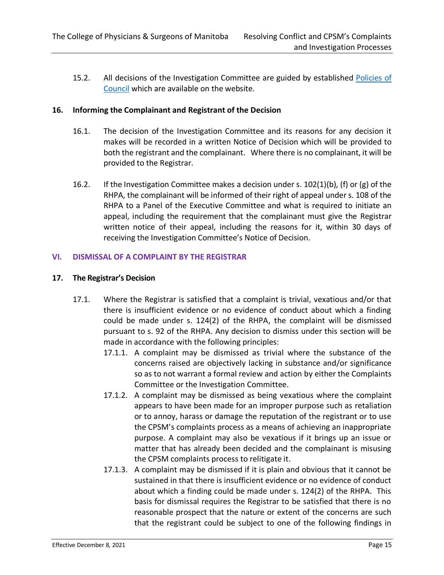15.2. All decisions of the Investigation Committee are guided by established [Policies](https://cpsm.mb.ca/laws-and-policies/policies-of-council) of [Council](https://cpsm.mb.ca/laws-and-policies/policies-of-council) which are available on the website.

#### **16. Informing the Complainant and Registrant of the Decision**

- 16.1. The decision of the Investigation Committee and its reasons for any decision it makes will be recorded in a written Notice of Decision which will be provided to both the registrant and the complainant. Where there is no complainant, it will be provided to the Registrar.
- 16.2. If the Investigation Committee makes a decision under s.  $102(1)(b)$ , (f) or (g) of the RHPA, the complainant will be informed of their right of appeal under s. 108 of the RHPA to a Panel of the Executive Committee and what is required to initiate an appeal, including the requirement that the complainant must give the Registrar written notice of their appeal, including the reasons for it, within 30 days of receiving the Investigation Committee's Notice of Decision.

## <span id="page-14-0"></span>**VI. DISMISSAL OF A COMPLAINT BY THE REGISTRAR**

#### **17. The Registrar's Decision**

- 17.1. Where the Registrar is satisfied that a complaint is trivial, vexatious and/or that there is insufficient evidence or no evidence of conduct about which a finding could be made under s. 124(2) of the RHPA, the complaint will be dismissed pursuant to s. 92 of the RHPA. Any decision to dismiss under this section will be made in accordance with the following principles:
	- 17.1.1. A complaint may be dismissed as trivial where the substance of the concerns raised are objectively lacking in substance and/or significance so as to not warrant a formal review and action by either the Complaints Committee or the Investigation Committee.
	- 17.1.2. A complaint may be dismissed as being vexatious where the complaint appears to have been made for an improper purpose such as retaliation or to annoy, harass or damage the reputation of the registrant or to use the CPSM's complaints process as a means of achieving an inappropriate purpose. A complaint may also be vexatious if it brings up an issue or matter that has already been decided and the complainant is misusing the CPSM complaints process to relitigate it.
	- 17.1.3. A complaint may be dismissed if it is plain and obvious that it cannot be sustained in that there is insufficient evidence or no evidence of conduct about which a finding could be made under s. 124(2) of the RHPA. This basis for dismissal requires the Registrar to be satisfied that there is no reasonable prospect that the nature or extent of the concerns are such that the registrant could be subject to one of the following findings in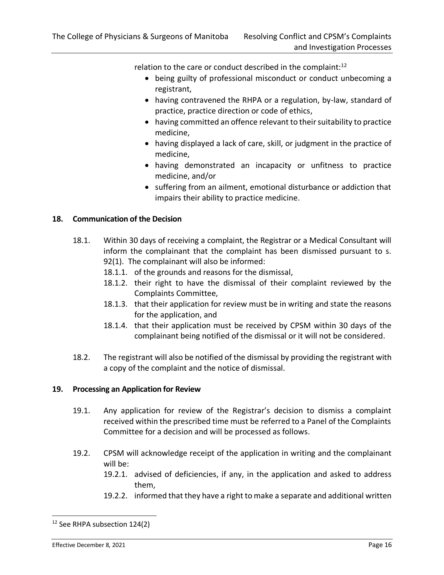relation to the care or conduct described in the complaint: $12$ 

- being guilty of professional misconduct or conduct unbecoming a registrant,
- having contravened the RHPA or a regulation, by-law, standard of practice, practice direction or code of ethics,
- having committed an offence relevant to their suitability to practice medicine,
- having displayed a lack of care, skill, or judgment in the practice of medicine,
- having demonstrated an incapacity or unfitness to practice medicine, and/or
- suffering from an ailment, emotional disturbance or addiction that impairs their ability to practice medicine.

## **18. Communication of the Decision**

- 18.1. Within 30 days of receiving a complaint, the Registrar or a Medical Consultant will inform the complainant that the complaint has been dismissed pursuant to s. 92(1). The complainant will also be informed:
	- 18.1.1. of the grounds and reasons for the dismissal,
	- 18.1.2. their right to have the dismissal of their complaint reviewed by the Complaints Committee,
	- 18.1.3. that their application for review must be in writing and state the reasons for the application, and
	- 18.1.4. that their application must be received by CPSM within 30 days of the complainant being notified of the dismissal or it will not be considered.
- 18.2. The registrant will also be notified of the dismissal by providing the registrant with a copy of the complaint and the notice of dismissal.

## **19. Processing an Application for Review**

- 19.1. Any application for review of the Registrar's decision to dismiss a complaint received within the prescribed time must be referred to a Panel of the Complaints Committee for a decision and will be processed as follows.
- 19.2. CPSM will acknowledge receipt of the application in writing and the complainant will be:
	- 19.2.1. advised of deficiencies, if any, in the application and asked to address them,
	- 19.2.2. informed that they have a right to make a separate and additional written

<sup>12</sup> See RHPA subsection 124(2)